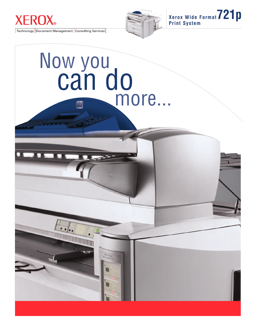

Technology Document Management Consulting Services



**Xerox Wide Format721p Print System**

# Now you can do more...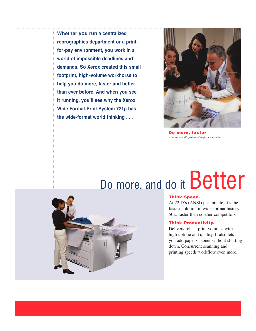**Whether you run a centralized reprographics department or a printfor-pay environment, you work in a world of impossible deadlines and demands. So Xerox created this small footprint, high-volume workhorse to help you do more, faster and better than ever before. And when you see it running, you'll see why the Xerox Wide Format Print System 721p has the wide-format world thinking . . .**



**Do more, faster**  *with the world's fastest wide-format solution.*

## Do more, and do it Better



#### **Think Speed.**

At 22 D's (ANSI) per minute, it's the fastest solution in wide-format history. 50% faster than costlier competitors.

#### **Think Productivity.**

Delivers robust print volumes with high uptime and quality. It also lets you add paper or toner without shutting down. Concurrent scanning and printing speeds workflow even more.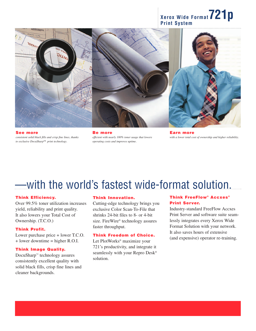## **Xerox Wide Format721p Print System**





**See more** *consistent solid black fills and crisp fine lines, thanks to exclusive DocuSharp™ print technology.*

**Be more** *efficient with nearly 100% toner usage that lowers operating costs and improves uptime.*



**Earn more** *with a lower total cost of ownership and higher reliability.*

### —with the world's fastest wide-format solution.

#### **Think Efficiency.**

Over 99.5% toner utilization increases yield, reliability and print quality. It also lowers your Total Cost of Ownership. (T.C.O.)

#### **Think Profit.**

Lower purchase price + lower T.C.O. + lower downtime = higher R.O.I.

#### **Think Image Quality.**

DocuSharp™ technology assures consistently excellent quality with solid black fills, crisp fine lines and cleaner backgrounds.

#### **Think Innovation.**

Cutting-edge technology brings you exclusive Color Scan-To-File that shrinks 24-bit files to 8- or 4-bit size. FireWire® technology assures faster throughput.

#### **Think Freedom of Choice.**

Let PlotWorks® maximize your 721's productivity, and integrate it seamlessly with your Repro Desk® solution.

#### **Think FreeFlow® Accxes ® Print Server.**

Industry-standard FreeFlow Accxes Print Server and software suite seamlessly integrates every Xerox Wide Format Solution with your network. It also saves hours of extensive (and expensive) operator re-training.